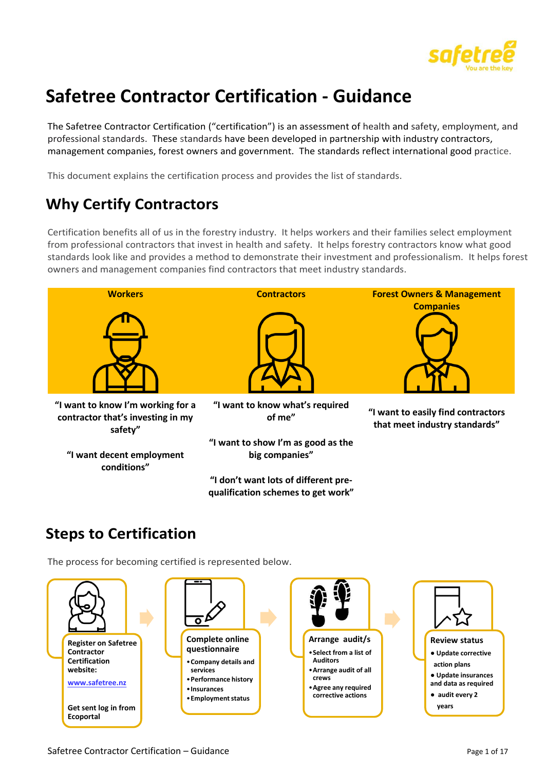

# **Safetree Contractor Certification - Guidance**

The Safetree Contractor Certification ("certification") is an assessment of health and safety, employment, and professional standards. These standards have been developed in partnership with industry contractors, management companies, forest owners and government. The standards reflect international good practice.

This document explains the certification process and provides the list of standards.

## **Why Certify Contractors**

Certification benefits all of us in the forestry industry. It helps workers and their families select employment from professional contractors that invest in health and safety. It helps forestry contractors know what good standards look like and provides a method to demonstrate their investment and professionalism. It helps forest owners and management companies find contractors that meet industry standards.



**qualification schemes to get work"**

### **Steps to Certification**

The process for becoming certified is represented below.

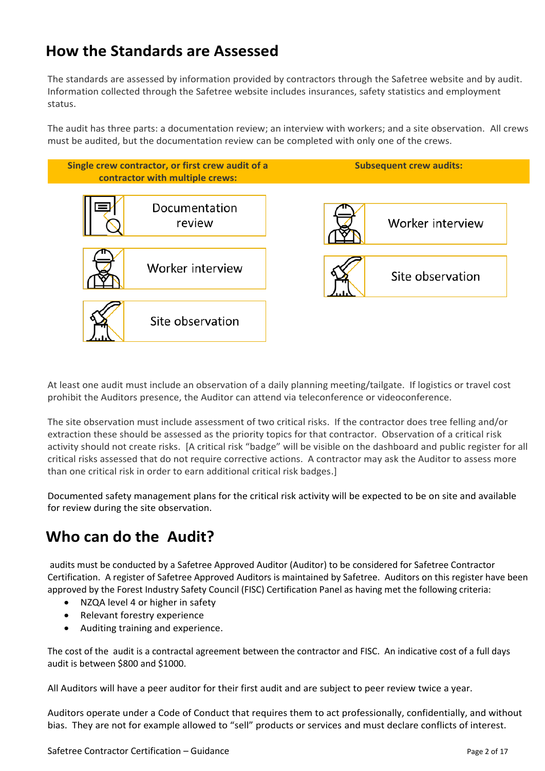### **How the Standards are Assessed**

The standards are assessed by information provided by contractors through the Safetree website and by audit. Information collected through the Safetree website includes insurances, safety statistics and employment status.

The audit has three parts: a documentation review; an interview with workers; and a site observation. All crews must be audited, but the documentation review can be completed with only one of the crews.



At least one audit must include an observation of a daily planning meeting/tailgate. If logistics or travel cost prohibit the Auditors presence, the Auditor can attend via teleconference or videoconference.

The site observation must include assessment of two critical risks. If the contractor does tree felling and/or extraction these should be assessed as the priority topics for that contractor. Observation of a critical risk activity should not create risks. [A critical risk "badge" will be visible on the dashboard and public register for all critical risks assessed that do not require corrective actions. A contractor may ask the Auditor to assess more than one critical risk in order to earn additional critical risk badges.]

Documented safety management plans for the critical risk activity will be expected to be on site and available for review during the site observation.

## **Who can do the Audit?**

audits must be conducted by a Safetree Approved Auditor (Auditor) to be considered for Safetree Contractor Certification. A register of Safetree Approved Auditors is maintained by Safetree. Auditors on this register have been approved by the Forest Industry Safety Council (FISC) Certification Panel as having met the following criteria:

- NZQA level 4 or higher in safety
- Relevant forestry experience
- Auditing training and experience.

The cost of the audit is a contractal agreement between the contractor and FISC. An indicative cost of a full days audit is between \$800 and \$1000.

All Auditors will have a peer auditor for their first audit and are subject to peer review twice a year.

Auditors operate under a Code of Conduct that requires them to act professionally, confidentially, and without bias. They are not for example allowed to "sell" products or services and must declare conflicts of interest.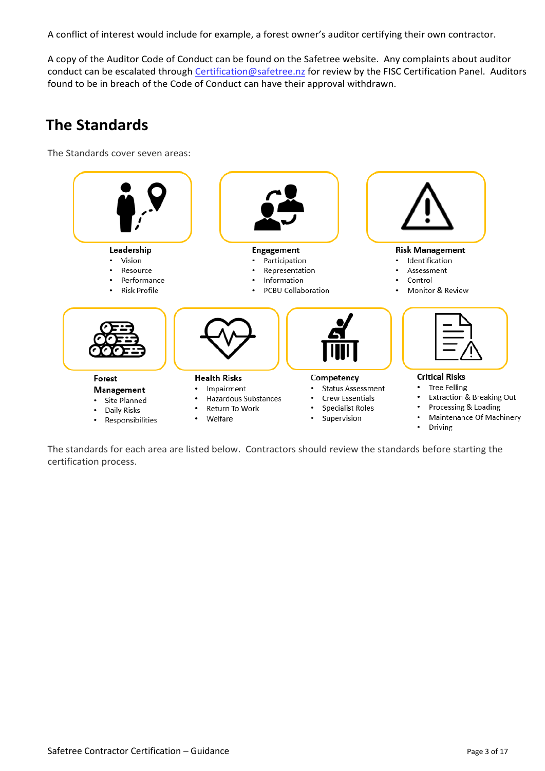A conflict of interest would include for example, a forest owner's auditor certifying their own contractor.

A copy of the Auditor Code of Conduct can be found on the Safetree website. Any complaints about auditor conduct can be escalated through [Certification@safetree.nz](mailto:Certification@safetree.nz) for review by the FISC Certification Panel. Auditors found to be in breach of the Code of Conduct can have their approval withdrawn.

### **The Standards**

The Standards cover seven areas:



The standards for each area are listed below. Contractors should review the standards before starting the certification process.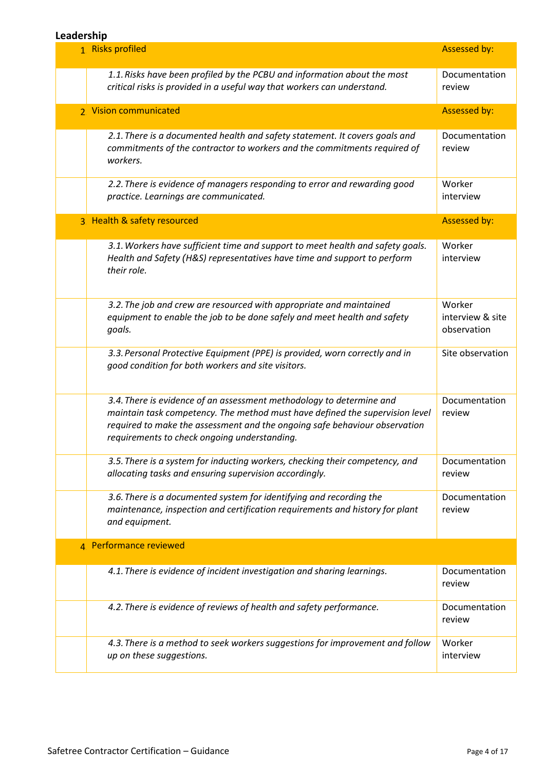#### **Leadership**

| LCQUCI JIIIP |                                                                                                                                                                                                                                                                                    |                                           |
|--------------|------------------------------------------------------------------------------------------------------------------------------------------------------------------------------------------------------------------------------------------------------------------------------------|-------------------------------------------|
|              | 1. Risks profiled                                                                                                                                                                                                                                                                  | <b>Assessed by:</b>                       |
|              | 1.1. Risks have been profiled by the PCBU and information about the most<br>critical risks is provided in a useful way that workers can understand.                                                                                                                                | Documentation<br>review                   |
|              | 2. Vision communicated                                                                                                                                                                                                                                                             | <b>Assessed by:</b>                       |
|              | 2.1. There is a documented health and safety statement. It covers goals and<br>commitments of the contractor to workers and the commitments required of<br>workers.                                                                                                                | Documentation<br>review                   |
|              | 2.2. There is evidence of managers responding to error and rewarding good<br>practice. Learnings are communicated.                                                                                                                                                                 | Worker<br>interview                       |
|              | 3 Health & safety resourced                                                                                                                                                                                                                                                        | <b>Assessed by:</b>                       |
|              | 3.1. Workers have sufficient time and support to meet health and safety goals.<br>Health and Safety (H&S) representatives have time and support to perform<br>their role.                                                                                                          | Worker<br>interview                       |
|              | 3.2. The job and crew are resourced with appropriate and maintained<br>equipment to enable the job to be done safely and meet health and safety<br>goals.                                                                                                                          | Worker<br>interview & site<br>observation |
|              | 3.3. Personal Protective Equipment (PPE) is provided, worn correctly and in<br>good condition for both workers and site visitors.                                                                                                                                                  | Site observation                          |
|              | 3.4. There is evidence of an assessment methodology to determine and<br>maintain task competency. The method must have defined the supervision level<br>required to make the assessment and the ongoing safe behaviour observation<br>requirements to check ongoing understanding. | Documentation<br>review                   |
|              | 3.5. There is a system for inducting workers, checking their competency, and<br>allocating tasks and ensuring supervision accordingly.                                                                                                                                             | Documentation<br>review                   |
|              | 3.6. There is a documented system for identifying and recording the<br>maintenance, inspection and certification requirements and history for plant<br>and equipment.                                                                                                              | Documentation<br>review                   |
|              | 4 Performance reviewed                                                                                                                                                                                                                                                             |                                           |
|              | 4.1. There is evidence of incident investigation and sharing learnings.                                                                                                                                                                                                            | Documentation<br>review                   |
|              | 4.2. There is evidence of reviews of health and safety performance.                                                                                                                                                                                                                | Documentation<br>review                   |
|              | 4.3. There is a method to seek workers suggestions for improvement and follow<br>up on these suggestions.                                                                                                                                                                          | Worker<br>interview                       |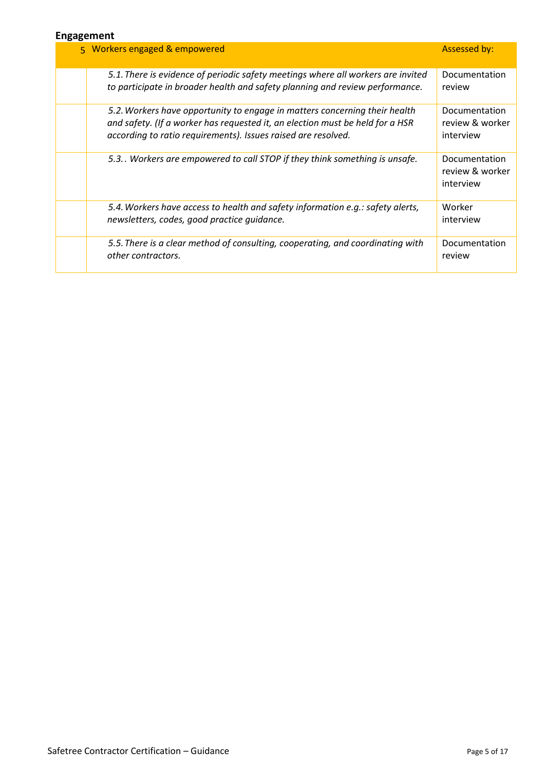#### **Engagement**

| ייייסשמים                                                                                                                                                                                                                    |                                               |  |  |
|------------------------------------------------------------------------------------------------------------------------------------------------------------------------------------------------------------------------------|-----------------------------------------------|--|--|
| 5 Workers engaged & empowered                                                                                                                                                                                                | <b>Assessed by:</b>                           |  |  |
| 5.1. There is evidence of periodic safety meetings where all workers are invited<br>to participate in broader health and safety planning and review performance.                                                             | Documentation<br>review                       |  |  |
| 5.2. Workers have opportunity to engage in matters concerning their health<br>and safety. (If a worker has requested it, an election must be held for a HSR<br>according to ratio requirements). Issues raised are resolved. | Documentation<br>review & worker<br>interview |  |  |
| 5.3. Workers are empowered to call STOP if they think something is unsafe.                                                                                                                                                   | Documentation<br>review & worker<br>interview |  |  |
| 5.4. Workers have access to health and safety information e.g.: safety alerts,<br>newsletters, codes, good practice quidance.                                                                                                | Worker<br>interview                           |  |  |
| 5.5. There is a clear method of consulting, cooperating, and coordinating with<br>other contractors.                                                                                                                         | Documentation<br>review                       |  |  |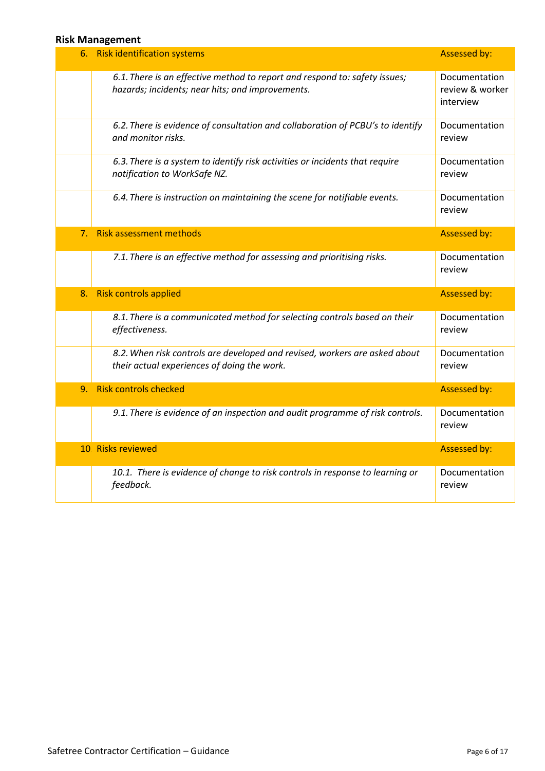#### **Risk Management**

| 6. | <b>Risk identification systems</b>                                                                                             | <b>Assessed by:</b>                           |
|----|--------------------------------------------------------------------------------------------------------------------------------|-----------------------------------------------|
|    | 6.1. There is an effective method to report and respond to: safety issues;<br>hazards; incidents; near hits; and improvements. | Documentation<br>review & worker<br>interview |
|    | 6.2. There is evidence of consultation and collaboration of PCBU's to identify<br>and monitor risks.                           | Documentation<br>review                       |
|    | 6.3. There is a system to identify risk activities or incidents that require<br>notification to WorkSafe NZ.                   | Documentation<br>review                       |
|    | 6.4. There is instruction on maintaining the scene for notifiable events.                                                      | Documentation<br>review                       |
| 7. | <b>Risk assessment methods</b>                                                                                                 | <b>Assessed by:</b>                           |
|    | 7.1. There is an effective method for assessing and prioritising risks.                                                        | Documentation<br>review                       |
| 8. | <b>Risk controls applied</b>                                                                                                   | <b>Assessed by:</b>                           |
|    | 8.1. There is a communicated method for selecting controls based on their<br>effectiveness.                                    | Documentation<br>review                       |
|    | 8.2. When risk controls are developed and revised, workers are asked about<br>their actual experiences of doing the work.      | Documentation<br>review                       |
| 9. | <b>Risk controls checked</b>                                                                                                   | Assessed by:                                  |
|    | 9.1. There is evidence of an inspection and audit programme of risk controls.                                                  | Documentation<br>review                       |
|    | 10 Risks reviewed                                                                                                              | <b>Assessed by:</b>                           |
|    | 10.1. There is evidence of change to risk controls in response to learning or<br>feedback.                                     | Documentation<br>review                       |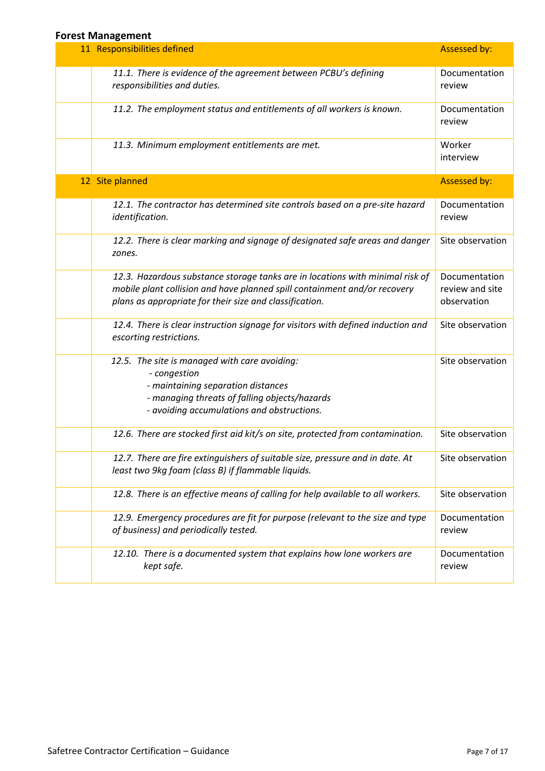#### **Forest Management**

| י טו כטג וזוטווטגכוווכווג<br>11 Responsibilities defined                                                                                                                                                              | Assessed by:                                    |
|-----------------------------------------------------------------------------------------------------------------------------------------------------------------------------------------------------------------------|-------------------------------------------------|
|                                                                                                                                                                                                                       |                                                 |
| 11.1. There is evidence of the agreement between PCBU's defining<br>responsibilities and duties.                                                                                                                      | Documentation<br>review                         |
| 11.2. The employment status and entitlements of all workers is known.                                                                                                                                                 | Documentation<br>review                         |
| 11.3. Minimum employment entitlements are met.                                                                                                                                                                        | Worker<br>interview                             |
| 12 Site planned                                                                                                                                                                                                       | Assessed by:                                    |
| 12.1. The contractor has determined site controls based on a pre-site hazard<br>identification.                                                                                                                       | Documentation<br>review                         |
| 12.2. There is clear marking and signage of designated safe areas and danger<br>zones.                                                                                                                                | Site observation                                |
| 12.3. Hazardous substance storage tanks are in locations with minimal risk of<br>mobile plant collision and have planned spill containment and/or recovery<br>plans as appropriate for their size and classification. | Documentation<br>review and site<br>observation |
| 12.4. There is clear instruction signage for visitors with defined induction and<br>escorting restrictions.                                                                                                           | Site observation                                |
| 12.5. The site is managed with care avoiding:<br>- congestion<br>- maintaining separation distances<br>- managing threats of falling objects/hazards<br>- avoiding accumulations and obstructions.                    | Site observation                                |
| 12.6. There are stocked first aid kit/s on site, protected from contamination.                                                                                                                                        | Site observation                                |
| 12.7. There are fire extinguishers of suitable size, pressure and in date. At<br>least two 9kg foam (class B) if flammable liquids.                                                                                   | Site observation                                |
| 12.8. There is an effective means of calling for help available to all workers.                                                                                                                                       | Site observation                                |
| 12.9. Emergency procedures are fit for purpose (relevant to the size and type<br>of business) and periodically tested.                                                                                                | Documentation<br>review                         |
| 12.10. There is a documented system that explains how lone workers are<br>kept safe.                                                                                                                                  | Documentation<br>review                         |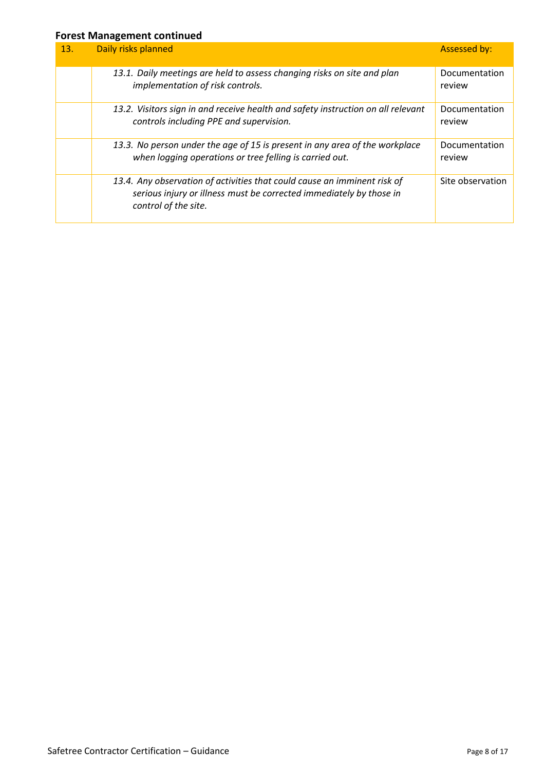#### **Forest Management continued**

| 13. | Daily risks planned                                                                                                                                                     | <b>Assessed by:</b>     |
|-----|-------------------------------------------------------------------------------------------------------------------------------------------------------------------------|-------------------------|
|     | 13.1. Daily meetings are held to assess changing risks on site and plan<br>implementation of risk controls.                                                             | Documentation<br>review |
|     | 13.2. Visitors sign in and receive health and safety instruction on all relevant<br>controls including PPE and supervision.                                             | Documentation<br>review |
|     | 13.3. No person under the age of 15 is present in any area of the workplace<br>when logging operations or tree felling is carried out.                                  | Documentation<br>review |
|     | 13.4. Any observation of activities that could cause an imminent risk of<br>serious injury or illness must be corrected immediately by those in<br>control of the site. | Site observation        |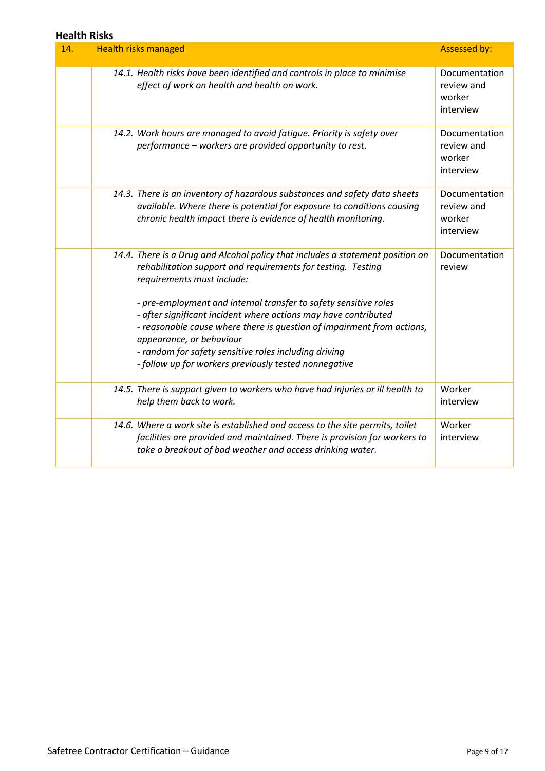#### **Health Risks**

| 14. | <b>Health risks managed</b>                                                                                                                                                                                                                                                                                                                                 | <b>Assessed by:</b>                                |  |  |
|-----|-------------------------------------------------------------------------------------------------------------------------------------------------------------------------------------------------------------------------------------------------------------------------------------------------------------------------------------------------------------|----------------------------------------------------|--|--|
|     | 14.1. Health risks have been identified and controls in place to minimise<br>effect of work on health and health on work.                                                                                                                                                                                                                                   | Documentation<br>review and<br>worker<br>interview |  |  |
|     | 14.2. Work hours are managed to avoid fatique. Priority is safety over<br>performance - workers are provided opportunity to rest.                                                                                                                                                                                                                           | Documentation<br>review and<br>worker<br>interview |  |  |
|     | 14.3. There is an inventory of hazardous substances and safety data sheets<br>available. Where there is potential for exposure to conditions causing<br>chronic health impact there is evidence of health monitoring.                                                                                                                                       | Documentation<br>review and<br>worker<br>interview |  |  |
|     | 14.4. There is a Drug and Alcohol policy that includes a statement position on<br>rehabilitation support and requirements for testing. Testing<br>requirements must include:                                                                                                                                                                                | Documentation<br>review                            |  |  |
|     | - pre-employment and internal transfer to safety sensitive roles<br>- after significant incident where actions may have contributed<br>- reasonable cause where there is question of impairment from actions,<br>appearance, or behaviour<br>- random for safety sensitive roles including driving<br>- follow up for workers previously tested nonnegative |                                                    |  |  |
|     | 14.5. There is support given to workers who have had injuries or ill health to<br>help them back to work.                                                                                                                                                                                                                                                   | Worker<br>interview                                |  |  |
|     | 14.6. Where a work site is established and access to the site permits, toilet<br>facilities are provided and maintained. There is provision for workers to<br>take a breakout of bad weather and access drinking water.                                                                                                                                     | Worker<br>interview                                |  |  |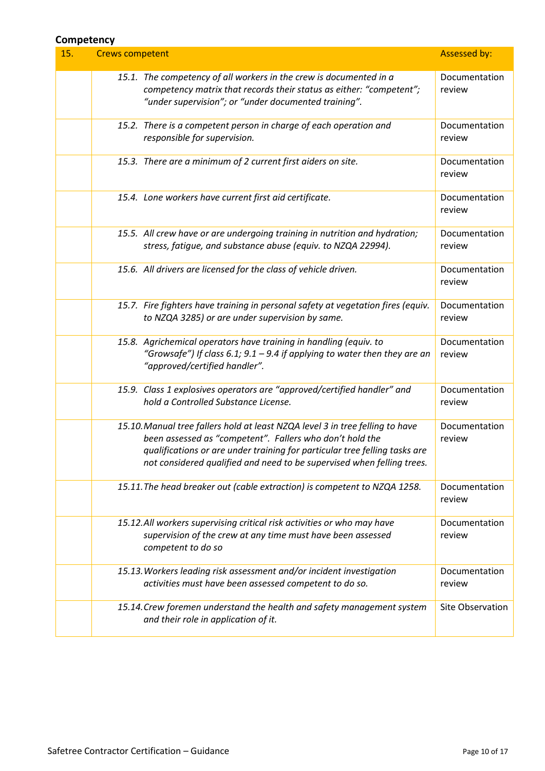#### **Competency**

| 15. | <b>Crews competent</b> |                                                                                                                                                                                                                                                                                                   | Assessed by:            |
|-----|------------------------|---------------------------------------------------------------------------------------------------------------------------------------------------------------------------------------------------------------------------------------------------------------------------------------------------|-------------------------|
|     |                        | 15.1. The competency of all workers in the crew is documented in a<br>competency matrix that records their status as either: "competent";<br>"under supervision"; or "under documented training".                                                                                                 | Documentation<br>review |
|     |                        | 15.2. There is a competent person in charge of each operation and<br>responsible for supervision.                                                                                                                                                                                                 | Documentation<br>review |
|     |                        | 15.3. There are a minimum of 2 current first aiders on site.                                                                                                                                                                                                                                      | Documentation<br>review |
|     |                        | 15.4. Lone workers have current first aid certificate.                                                                                                                                                                                                                                            | Documentation<br>review |
|     |                        | 15.5. All crew have or are undergoing training in nutrition and hydration;<br>stress, fatigue, and substance abuse (equiv. to NZQA 22994).                                                                                                                                                        | Documentation<br>review |
|     |                        | 15.6. All drivers are licensed for the class of vehicle driven.                                                                                                                                                                                                                                   | Documentation<br>review |
|     |                        | 15.7. Fire fighters have training in personal safety at vegetation fires (equiv.<br>to NZQA 3285) or are under supervision by same.                                                                                                                                                               | Documentation<br>review |
|     |                        | 15.8. Agrichemical operators have training in handling (equiv. to<br>"Growsafe") If class 6.1; $9.1 - 9.4$ if applying to water then they are an<br>"approved/certified handler".                                                                                                                 | Documentation<br>review |
|     |                        | 15.9. Class 1 explosives operators are "approved/certified handler" and<br>hold a Controlled Substance License.                                                                                                                                                                                   | Documentation<br>review |
|     |                        | 15.10. Manual tree fallers hold at least NZQA level 3 in tree felling to have<br>been assessed as "competent". Fallers who don't hold the<br>qualifications or are under training for particular tree felling tasks are<br>not considered qualified and need to be supervised when felling trees. | Documentation<br>review |
|     |                        | 15.11. The head breaker out (cable extraction) is competent to NZQA 1258.                                                                                                                                                                                                                         | Documentation<br>review |
|     |                        | 15.12.All workers supervising critical risk activities or who may have<br>supervision of the crew at any time must have been assessed<br>competent to do so                                                                                                                                       | Documentation<br>review |
|     |                        | 15.13. Workers leading risk assessment and/or incident investigation<br>activities must have been assessed competent to do so.                                                                                                                                                                    | Documentation<br>review |
|     |                        | 15.14. Crew foremen understand the health and safety management system<br>and their role in application of it.                                                                                                                                                                                    | Site Observation        |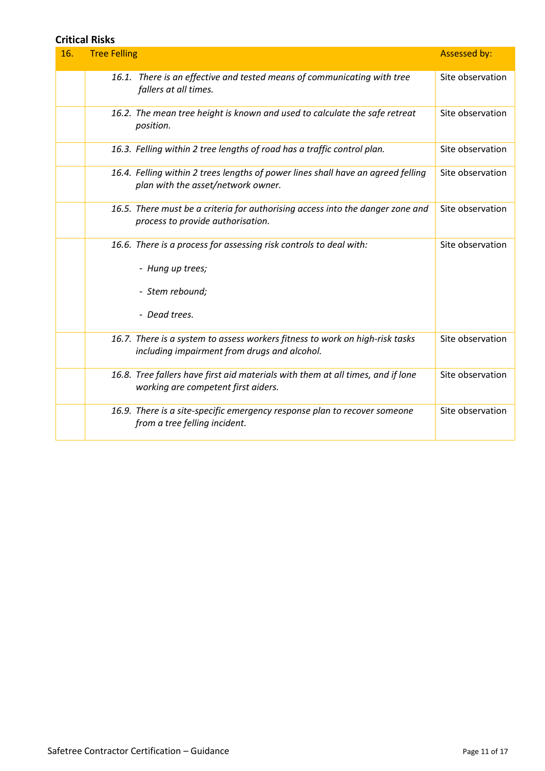#### **Critical Risks**

| 16. | <b>Tree Felling</b> |                                                                                                                              | <b>Assessed by:</b> |
|-----|---------------------|------------------------------------------------------------------------------------------------------------------------------|---------------------|
|     |                     | 16.1. There is an effective and tested means of communicating with tree<br>fallers at all times.                             | Site observation    |
|     |                     | 16.2. The mean tree height is known and used to calculate the safe retreat<br>position.                                      | Site observation    |
|     |                     | 16.3. Felling within 2 tree lengths of road has a traffic control plan.                                                      | Site observation    |
|     |                     | 16.4. Felling within 2 trees lengths of power lines shall have an agreed felling<br>plan with the asset/network owner.       | Site observation    |
|     |                     | 16.5. There must be a criteria for authorising access into the danger zone and<br>process to provide authorisation.          | Site observation    |
|     |                     | 16.6. There is a process for assessing risk controls to deal with:                                                           | Site observation    |
|     |                     | - Hung up trees;                                                                                                             |                     |
|     |                     | - Stem rebound;                                                                                                              |                     |
|     |                     | - Dead trees.                                                                                                                |                     |
|     |                     | 16.7. There is a system to assess workers fitness to work on high-risk tasks<br>including impairment from drugs and alcohol. | Site observation    |
|     |                     | 16.8. Tree fallers have first aid materials with them at all times, and if lone<br>working are competent first aiders.       | Site observation    |
|     |                     | 16.9. There is a site-specific emergency response plan to recover someone<br>from a tree felling incident.                   | Site observation    |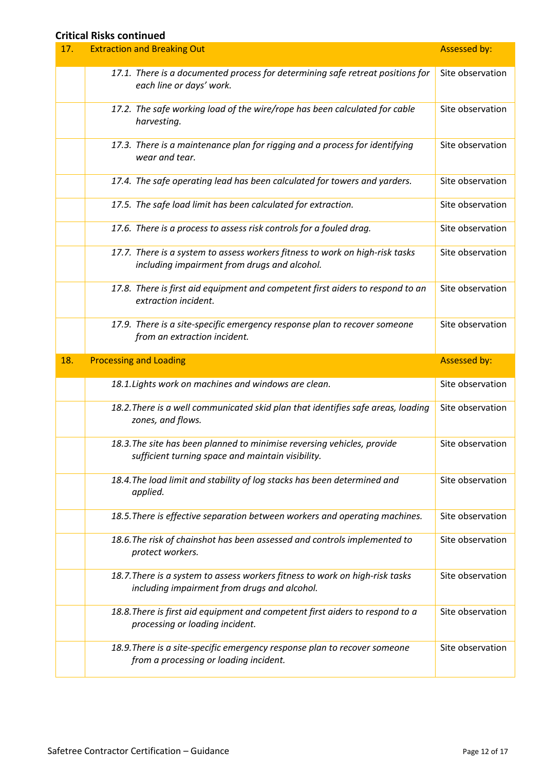#### **Critical Risks continued**

| 17. | <b>Extraction and Breaking Out</b>                                                                                           | <b>Assessed by:</b> |
|-----|------------------------------------------------------------------------------------------------------------------------------|---------------------|
|     | 17.1. There is a documented process for determining safe retreat positions for<br>each line or days' work.                   | Site observation    |
|     | 17.2. The safe working load of the wire/rope has been calculated for cable<br>harvesting.                                    | Site observation    |
|     | 17.3. There is a maintenance plan for rigging and a process for identifying<br>wear and tear.                                | Site observation    |
|     | 17.4. The safe operating lead has been calculated for towers and yarders.                                                    | Site observation    |
|     | 17.5. The safe load limit has been calculated for extraction.                                                                | Site observation    |
|     | 17.6. There is a process to assess risk controls for a fouled drag.                                                          | Site observation    |
|     | 17.7. There is a system to assess workers fitness to work on high-risk tasks<br>including impairment from drugs and alcohol. | Site observation    |
|     | 17.8. There is first aid equipment and competent first aiders to respond to an<br>extraction incident.                       | Site observation    |
|     | 17.9. There is a site-specific emergency response plan to recover someone<br>from an extraction incident.                    | Site observation    |
|     |                                                                                                                              |                     |
| 18. | <b>Processing and Loading</b>                                                                                                | <b>Assessed by:</b> |
|     | 18.1. Lights work on machines and windows are clean.                                                                         | Site observation    |
|     | 18.2. There is a well communicated skid plan that identifies safe areas, loading<br>zones, and flows.                        | Site observation    |
|     | 18.3. The site has been planned to minimise reversing vehicles, provide<br>sufficient turning space and maintain visibility. | Site observation    |
|     | 18.4. The load limit and stability of log stacks has been determined and<br>applied.                                         | Site observation    |
|     | 18.5. There is effective separation between workers and operating machines.                                                  | Site observation    |
|     | 18.6. The risk of chainshot has been assessed and controls implemented to<br>protect workers.                                | Site observation    |
|     | 18.7. There is a system to assess workers fitness to work on high-risk tasks<br>including impairment from drugs and alcohol. | Site observation    |
|     | 18.8. There is first aid equipment and competent first aiders to respond to a<br>processing or loading incident.             | Site observation    |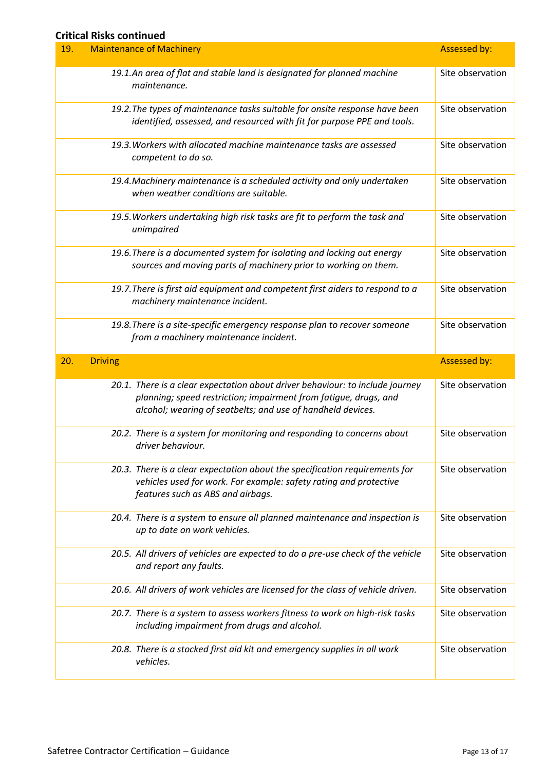#### **Critical Risks continued**

| 19. | <b>Maintenance of Machinery</b>                                                                                                                                                                                  | <b>Assessed by:</b> |
|-----|------------------------------------------------------------------------------------------------------------------------------------------------------------------------------------------------------------------|---------------------|
|     | 19.1.An area of flat and stable land is designated for planned machine<br>maintenance.                                                                                                                           | Site observation    |
|     | 19.2. The types of maintenance tasks suitable for onsite response have been<br>identified, assessed, and resourced with fit for purpose PPE and tools.                                                           | Site observation    |
|     | 19.3. Workers with allocated machine maintenance tasks are assessed<br>competent to do so.                                                                                                                       | Site observation    |
|     | 19.4. Machinery maintenance is a scheduled activity and only undertaken<br>when weather conditions are suitable.                                                                                                 | Site observation    |
|     | 19.5. Workers undertaking high risk tasks are fit to perform the task and<br>unimpaired                                                                                                                          | Site observation    |
|     | 19.6. There is a documented system for isolating and locking out energy<br>sources and moving parts of machinery prior to working on them.                                                                       | Site observation    |
|     | 19.7. There is first aid equipment and competent first aiders to respond to a<br>machinery maintenance incident.                                                                                                 | Site observation    |
|     | 19.8. There is a site-specific emergency response plan to recover someone<br>from a machinery maintenance incident.                                                                                              | Site observation    |
|     |                                                                                                                                                                                                                  |                     |
| 20. | <b>Driving</b>                                                                                                                                                                                                   | <b>Assessed by:</b> |
|     | 20.1. There is a clear expectation about driver behaviour: to include journey<br>planning; speed restriction; impairment from fatique, drugs, and<br>alcohol; wearing of seatbelts; and use of handheld devices. | Site observation    |
|     | 20.2. There is a system for monitoring and responding to concerns about<br>driver behaviour.                                                                                                                     | Site observation    |
|     | 20.3. There is a clear expectation about the specification requirements for<br>vehicles used for work. For example: safety rating and protective<br>features such as ABS and airbags.                            | Site observation    |
|     | 20.4. There is a system to ensure all planned maintenance and inspection is<br>up to date on work vehicles.                                                                                                      | Site observation    |
|     | 20.5. All drivers of vehicles are expected to do a pre-use check of the vehicle<br>and report any faults.                                                                                                        | Site observation    |
|     | 20.6. All drivers of work vehicles are licensed for the class of vehicle driven.                                                                                                                                 | Site observation    |
|     | 20.7. There is a system to assess workers fitness to work on high-risk tasks<br>including impairment from drugs and alcohol.                                                                                     | Site observation    |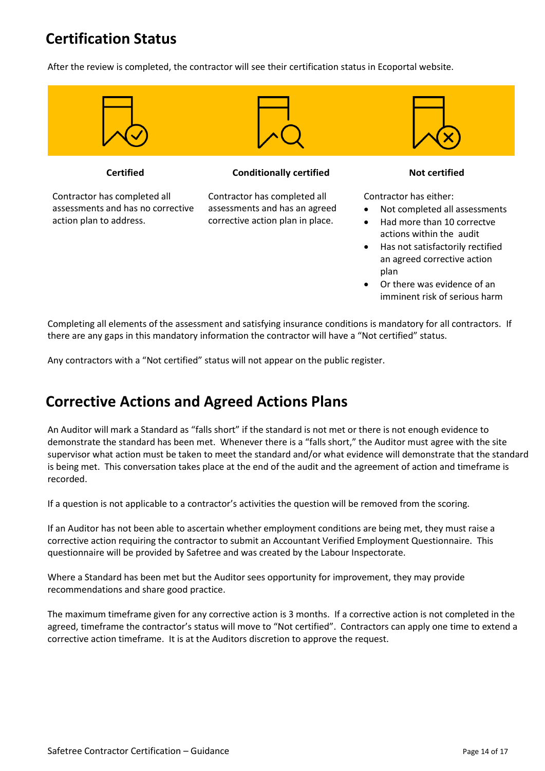## **Certification Status**

After the review is completed, the contractor will see their certification status in Ecoportal website.



Or there was evidence of an imminent risk of serious harm

Completing all elements of the assessment and satisfying insurance conditions is mandatory for all contractors. If there are any gaps in this mandatory information the contractor will have a "Not certified" status.

Any contractors with a "Not certified" status will not appear on the public register.

### **Corrective Actions and Agreed Actions Plans**

An Auditor will mark a Standard as "falls short" if the standard is not met or there is not enough evidence to demonstrate the standard has been met. Whenever there is a "falls short," the Auditor must agree with the site supervisor what action must be taken to meet the standard and/or what evidence will demonstrate that the standard is being met. This conversation takes place at the end of the audit and the agreement of action and timeframe is recorded.

If a question is not applicable to a contractor's activities the question will be removed from the scoring.

If an Auditor has not been able to ascertain whether employment conditions are being met, they must raise a corrective action requiring the contractor to submit an Accountant Verified Employment Questionnaire. This questionnaire will be provided by Safetree and was created by the Labour Inspectorate.

Where a Standard has been met but the Auditor sees opportunity for improvement, they may provide recommendations and share good practice.

The maximum timeframe given for any corrective action is 3 months. If a corrective action is not completed in the agreed, timeframe the contractor's status will move to "Not certified". Contractors can apply one time to extend a corrective action timeframe. It is at the Auditors discretion to approve the request.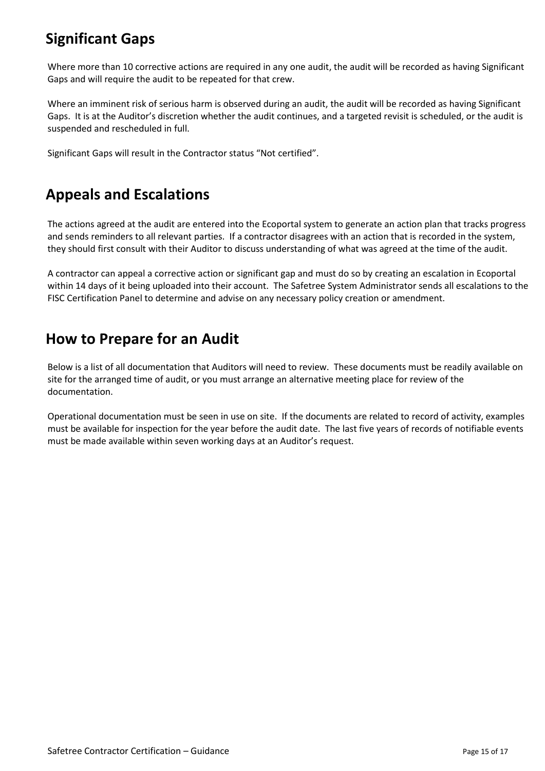### **Significant Gaps**

Where more than 10 corrective actions are required in any one audit, the audit will be recorded as having Significant Gaps and will require the audit to be repeated for that crew.

Where an imminent risk of serious harm is observed during an audit, the audit will be recorded as having Significant Gaps. It is at the Auditor's discretion whether the audit continues, and a targeted revisit is scheduled, or the audit is suspended and rescheduled in full.

Significant Gaps will result in the Contractor status "Not certified".

### **Appeals and Escalations**

The actions agreed at the audit are entered into the Ecoportal system to generate an action plan that tracks progress and sends reminders to all relevant parties. If a contractor disagrees with an action that is recorded in the system, they should first consult with their Auditor to discuss understanding of what was agreed at the time of the audit.

A contractor can appeal a corrective action or significant gap and must do so by creating an escalation in Ecoportal within 14 days of it being uploaded into their account. The Safetree System Administrator sends all escalations to the FISC Certification Panel to determine and advise on any necessary policy creation or amendment.

### **How to Prepare for an Audit**

Below is a list of all documentation that Auditors will need to review. These documents must be readily available on site for the arranged time of audit, or you must arrange an alternative meeting place for review of the documentation.

Operational documentation must be seen in use on site. If the documents are related to record of activity, examples must be available for inspection for the year before the audit date. The last five years of records of notifiable events must be made available within seven working days at an Auditor's request.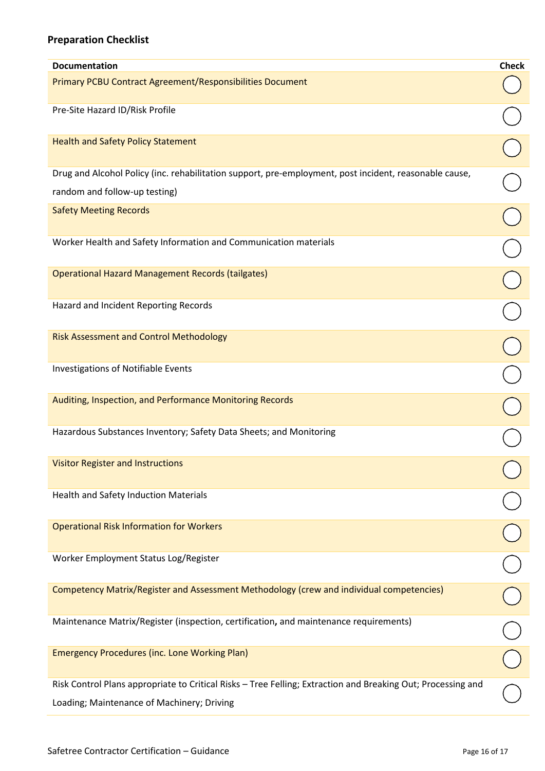### **Preparation Checklist**

| <b>Documentation</b>                                                                                         | <b>Check</b> |
|--------------------------------------------------------------------------------------------------------------|--------------|
| Primary PCBU Contract Agreement/Responsibilities Document                                                    |              |
| Pre-Site Hazard ID/Risk Profile                                                                              |              |
| <b>Health and Safety Policy Statement</b>                                                                    |              |
| Drug and Alcohol Policy (inc. rehabilitation support, pre-employment, post incident, reasonable cause,       |              |
| random and follow-up testing)                                                                                |              |
| <b>Safety Meeting Records</b>                                                                                |              |
| Worker Health and Safety Information and Communication materials                                             |              |
| <b>Operational Hazard Management Records (tailgates)</b>                                                     |              |
| Hazard and Incident Reporting Records                                                                        |              |
| <b>Risk Assessment and Control Methodology</b>                                                               |              |
| Investigations of Notifiable Events                                                                          |              |
| Auditing, Inspection, and Performance Monitoring Records                                                     |              |
| Hazardous Substances Inventory; Safety Data Sheets; and Monitoring                                           |              |
| <b>Visitor Register and Instructions</b>                                                                     |              |
| <b>Health and Safety Induction Materials</b>                                                                 |              |
| <b>Operational Risk Information for Workers</b>                                                              |              |
| Worker Employment Status Log/Register                                                                        |              |
| Competency Matrix/Register and Assessment Methodology (crew and individual competencies)                     |              |
| Maintenance Matrix/Register (inspection, certification, and maintenance requirements)                        |              |
| <b>Emergency Procedures (inc. Lone Working Plan)</b>                                                         |              |
| Risk Control Plans appropriate to Critical Risks - Tree Felling; Extraction and Breaking Out; Processing and |              |
| Loading; Maintenance of Machinery; Driving                                                                   |              |